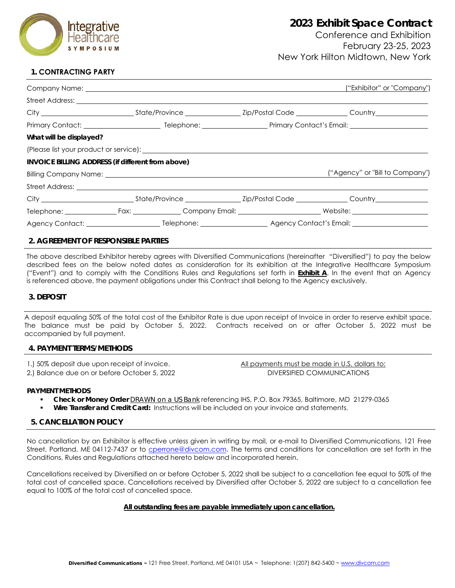

Conference and Exhibition February 23-25, 2023 New York Hilton Midtown, New York

# **1. CONTRACTING PARTY**

|                         |                                                                                                                                                                                                                                |  | ("Exhibitor" or "Company")      |  |
|-------------------------|--------------------------------------------------------------------------------------------------------------------------------------------------------------------------------------------------------------------------------|--|---------------------------------|--|
|                         |                                                                                                                                                                                                                                |  |                                 |  |
|                         |                                                                                                                                                                                                                                |  |                                 |  |
|                         |                                                                                                                                                                                                                                |  |                                 |  |
| What will be displayed? |                                                                                                                                                                                                                                |  |                                 |  |
|                         | (Please list your product or service): example and a service of the service of the service of the service of the service of the service of the service of the service of the service of the service of the service of the serv |  |                                 |  |
|                         | INVOICE BILLING ADDRESS (if different from above)                                                                                                                                                                              |  |                                 |  |
|                         |                                                                                                                                                                                                                                |  | ("Agency" or "Bill to Company") |  |
|                         |                                                                                                                                                                                                                                |  |                                 |  |
|                         |                                                                                                                                                                                                                                |  |                                 |  |
|                         | Telephone: Fax: Fax: Company Email: Netbook and Mediate: Netbook and Mediate: Netbook and Mediate: Netbook and Mediate: Netbook and Mediate: Netbook and Mediate: Netbook and Mediate: Netbook and Mediate: Netbook and Mediat |  |                                 |  |
|                         |                                                                                                                                                                                                                                |  |                                 |  |

# **2. AGREEMENT OF RESPONSIBLE PARTIES**

The above described Exhibitor hereby agrees with Diversified Communications (hereinafter "Diversified") to pay the below described fees on the below noted dates as consideration for its exhibition at the Integrative Healthcare Symposium ("Event") and to comply with the Conditions Rules and Regulations set forth in **Exhibit A**. In the event that an Agency is referenced above, the payment obligations under this Contract shall belong to the Agency exclusively.

### **3. DEPOSIT**

A deposit equaling 50% of the total cost of the Exhibitor Rate is due upon receipt of Invoice in order to reserve exhibit space. The balance must be paid by October 5, 2022. Contracts received on or after October 5, 2022 must be accompanied by full payment.

### **4. PAYMENT TERMS/METHODS**

1.) 50% deposit due upon receipt of invoice.

2.) Balance due on or before October 5, 2022

All payments must be made in U.S. dollars to: DIVERSIFIED COMMUNICATIONS

### **PAYMENT METHODS**

- **Check or Money Order** *DRAWN on a US Bank* referencing IHS, P.O. Box 79365, Baltimore, MD 21279-0365
- **Wire Transfer and Credit Card:** Instructions will be included on your invoice and statements.

## **5. CANCELLATION POLICY**

No cancellation by an Exhibitor is effective unless given in writing by mail, or e-mail to Diversified Communications, 121 Free Street, Portland, ME 04112-7437 or to [cperrone@divcom.com.](mailto:cperrone@divcom.com) The terms and conditions for cancellation are set forth in the Conditions, Rules and Regulations attached hereto below and incorporated herein.

Cancellations received by Diversified on or before October 5, 2022 shall be subject to a cancellation fee equal to 50% of the total cost of cancelled space. Cancellations received by Diversified after October 5, 2022 are subject to a cancellation fee equal to 100% of the total cost of cancelled space.

### **All outstanding fees are payable immediately upon cancellation.**